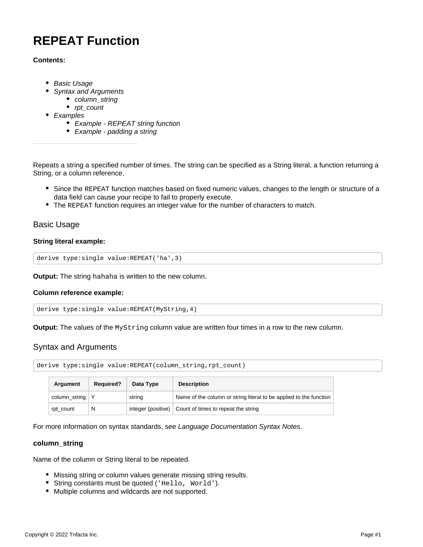# **REPEAT Function**

## **Contents:**

- [Basic Usage](#page-0-0)
- [Syntax and Arguments](#page-0-1)
	- [column\\_string](#page-0-2)
	- rpt count
- [Examples](#page-1-1)
	- [Example REPEAT string function](#page-1-2)
	- [Example padding a string](#page-2-0)

Repeats a string a specified number of times. The string can be specified as a String literal, a function returning a String, or a column reference.

- Since the REPEAT function matches based on fixed numeric values, changes to the length or structure of a data field can cause your recipe to fail to properly execute.
- The REPEAT function requires an integer value for the number of characters to match.

# <span id="page-0-0"></span>Basic Usage

## **String literal example:**

derive type:single value:REPEAT('ha',3)

**Output:** The string hahaha is written to the new column.

## **Column reference example:**

derive type:single value:REPEAT(MyString,4)

**Output:** The values of the MyString column value are written four times in a row to the new column.

# <span id="page-0-1"></span>Syntax and Arguments

derive type:single value:REPEAT(column\_string,rpt\_count)

| Argument          | <b>Required?</b> | Data Type | <b>Description</b>                                                 |
|-------------------|------------------|-----------|--------------------------------------------------------------------|
| column_string   Y |                  | string    | Name of the column or string literal to be applied to the function |
| rpt_count         | N                |           | integer (positive) Count of times to repeat the string             |

For more information on syntax standards, see [Language Documentation Syntax Notes](https://docs.trifacta.com/display/r050/Language+Documentation+Syntax+Notes).

## <span id="page-0-2"></span>**column\_string**

Name of the column or String literal to be repeated.

- Missing string or column values generate missing string results.
- String constants must be quoted ('Hello, World').
- Multiple columns and wildcards are not supported.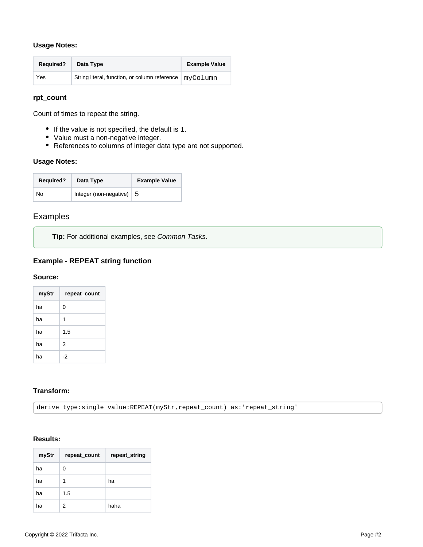## **Usage Notes:**

| <b>Required?</b> | Data Type                                                | <b>Example Value</b> |
|------------------|----------------------------------------------------------|----------------------|
| Yes              | String literal, function, or column reference   myColumn |                      |

# <span id="page-1-0"></span>**rpt\_count**

Count of times to repeat the string.

- If the value is not specified, the default is 1.
- Value must a non-negative integer.
- References to columns of integer data type are not supported.

#### **Usage Notes:**

| <b>Required?</b> | Data Type              | <b>Example Value</b> |
|------------------|------------------------|----------------------|
| No               | Integer (non-negative) | - 5                  |

# <span id="page-1-1"></span>Examples

**Tip:** For additional examples, see [Common Tasks](https://docs.trifacta.com/display/r050/Common+Tasks).

# <span id="page-1-2"></span>**Example - REPEAT string function**

#### **Source:**

| myStr | repeat_count |
|-------|--------------|
| ha    | 0            |
| ha    | 1            |
| ha    | 1.5          |
| ha    | 2            |
| ha    | -2           |

## **Transform:**

derive type:single value:REPEAT(myStr,repeat\_count) as:'repeat\_string'

## **Results:**

| myStr | repeat_count | repeat_string |
|-------|--------------|---------------|
| ha    | 0            |               |
| ha    | 1            | ha            |
| ha    | 1.5          |               |
| ha    | 2            | haha          |